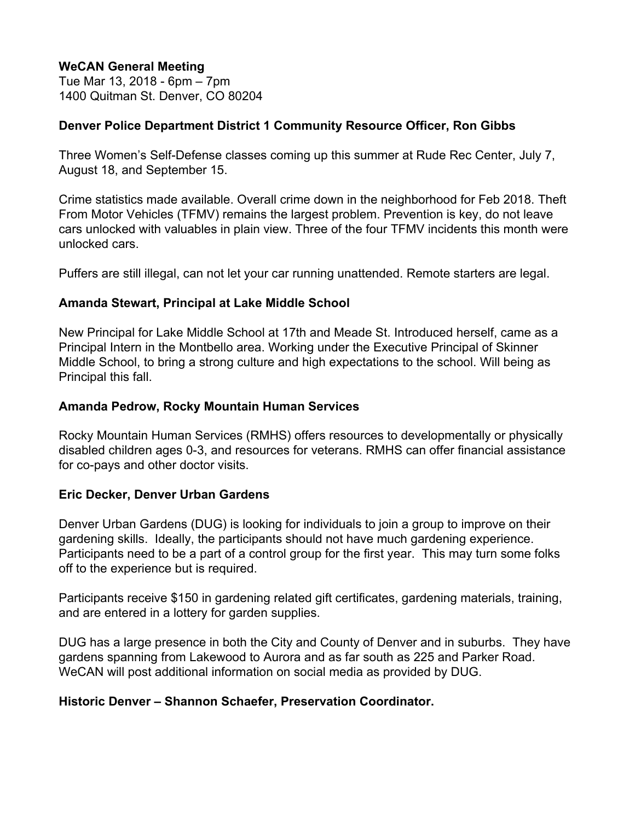## **WeCAN General Meeting**

Tue Mar 13, 2018 - 6pm – 7pm 1400 Quitman St. Denver, CO 80204

### **Denver Police Department District 1 Community Resource Officer, Ron Gibbs**

Three Women's Self-Defense classes coming up this summer at Rude Rec Center, July 7, August 18, and September 15.

Crime statistics made available. Overall crime down in the neighborhood for Feb 2018. Theft From Motor Vehicles (TFMV) remains the largest problem. Prevention is key, do not leave cars unlocked with valuables in plain view. Three of the four TFMV incidents this month were unlocked cars.

Puffers are still illegal, can not let your car running unattended. Remote starters are legal.

### **Amanda Stewart, Principal at Lake Middle School**

New Principal for Lake Middle School at 17th and Meade St. Introduced herself, came as a Principal Intern in the Montbello area. Working under the Executive Principal of Skinner Middle School, to bring a strong culture and high expectations to the school. Will being as Principal this fall.

### **Amanda Pedrow, Rocky Mountain Human Services**

Rocky Mountain Human Services (RMHS) offers resources to developmentally or physically disabled children ages 0-3, and resources for veterans. RMHS can offer financial assistance for co-pays and other doctor visits.

#### **Eric Decker, Denver Urban Gardens**

Denver Urban Gardens (DUG) is looking for individuals to join a group to improve on their gardening skills. Ideally, the participants should not have much gardening experience. Participants need to be a part of a control group for the first year. This may turn some folks off to the experience but is required.

Participants receive \$150 in gardening related gift certificates, gardening materials, training, and are entered in a lottery for garden supplies.

DUG has a large presence in both the City and County of Denver and in suburbs. They have gardens spanning from Lakewood to Aurora and as far south as 225 and Parker Road. WeCAN will post additional information on social media as provided by DUG.

# **Historic Denver – Shannon Schaefer, Preservation Coordinator.**